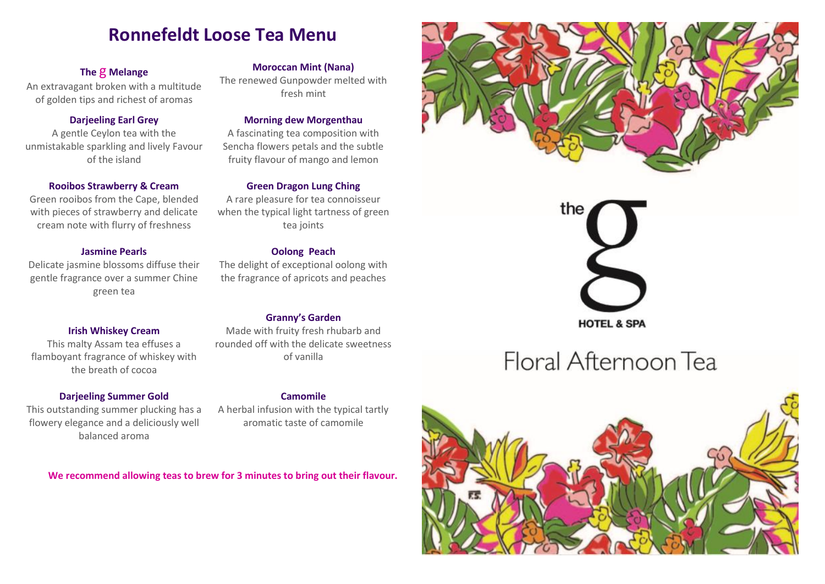# **Ronnefeldt Loose Tea Menu**

# **The** g **Melange**

An extravagant broken with a multitude of golden tips and richest of aromas

# **Darjeeling Earl Grey**

A gentle Ceylon tea with the unmistakable sparkling and lively Favour of the island

#### **Rooibos Strawberry & Cream**

Green rooibos from the Cape, blended with pieces of strawberry and delicate cream note with flurry of freshness

#### **Jasmine Pearls**

Delicate jasmine blossoms diffuse their gentle fragrance over a summer Chine green tea

### **Irish Whiskey Cream**

This malty Assam tea effuses a flamboyant fragrance of whiskey with the breath of cocoa

#### **Darjeeling Summer Gold**

This outstanding summer plucking has a flowery elegance and a deliciously well balanced aroma

#### **Moroccan Mint (Nana)**

The renewed Gunpowder melted with fresh mint

#### **Morning dew Morgenthau**

A fascinating tea composition with Sencha flowers petals and the subtle fruity flavour of mango and lemon

#### **Green Dragon Lung Ching**

A rare pleasure for tea connoisseur when the typical light tartness of green tea joints

#### **Oolong Peach**

The delight of exceptional oolong with the fragrance of apricots and peaches

# **Granny's Garden**

Made with fruity fresh rhubarb and rounded off with the delicate sweetness of vanilla

# **Camomile**

A herbal infusion with the typical tartly aromatic taste of camomile

**We recommend allowing teas to brew for 3 minutes to bring out their flavour.**





# Floral Afternoon Tea